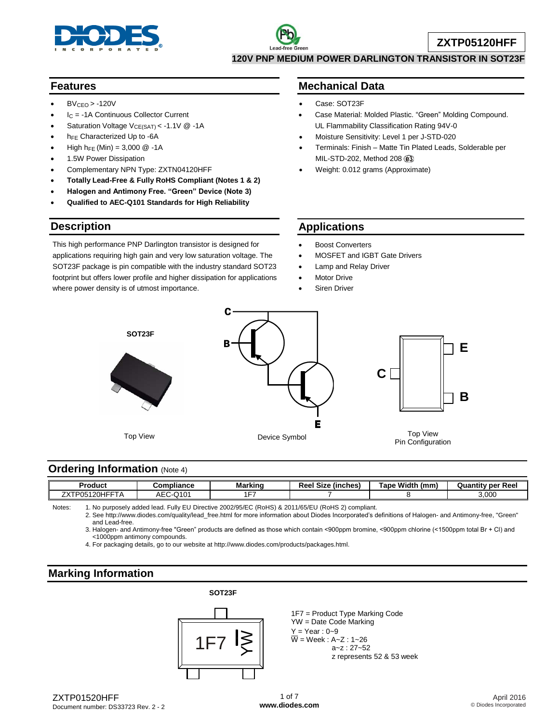

#### **Features**

- $BV_{CEO} > -120V$
- I<sup>C</sup> = -1A Continuous Collector Current
- Saturation Voltage V<sub>CE(SAT)</sub> < -1.1V @ -1A
- h<sub>FE</sub> Characterized Up to -6A
- High  $h_{FE}$  (Min) = 3,000  $@ -1A$
- 1.5W Power Dissipation
- Complementary NPN Type: ZXTN04120HFF
- **Totally Lead-Free & Fully RoHS Compliant (Notes 1 & 2)**
- **Halogen and Antimony Free. "Green" Device (Note 3)**
- **Qualified to AEC-Q101 Standards for High Reliability**

### **Description**

This high performance PNP Darlington transistor is designed for applications requiring high gain and very low saturation voltage. The SOT23F package is pin compatible with the industry standard SOT23 footprint but offers lower profile and higher dissipation for applications where power density is of utmost importance.

#### **Mechanical Data**

- Case: SOT23F
- Case Material: Molded Plastic. "Green" Molding Compound. UL Flammability Classification Rating 94V-0
- Moisture Sensitivity: Level 1 per J-STD-020
- Terminals: Finish Matte Tin Plated Leads, Solderable per MIL-STD-202, Method 208
- Weight: 0.012 grams (Approximate)

### **Applications**

- Boost Converters
- MOSFET and IGBT Gate Drivers
- Lamp and Relay Driver
- Motor Drive
- Siren Driver



#### **Ordering Information (Note 4)**

| <b>Product</b>                                                            | Compliance                             | <b>Markinc</b> | Reel<br>. <u>.</u><br>(inches)<br>Size | Width.<br><b>Tape</b><br>(mm | Reel<br><b>Quantity per</b> |
|---------------------------------------------------------------------------|----------------------------------------|----------------|----------------------------------------|------------------------------|-----------------------------|
| <b>JEET</b><br>フヽ/ㅜ<br>nn<br>DOL<br>┒┏<br>้นอ<br>۷U<br>–^ '<br>$\sqrt{ }$ | $\bigcap$<br>$ \sim$<br>∼∟∼<br>י שו ⊿י | $-$            |                                        |                              | 3.000                       |

Notes: 1. No purposely added lead. Fully EU Directive 2002/95/EC (RoHS) & 2011/65/EU (RoHS 2) compliant.

2. See [http://www.diodes.com/quality/lead\\_free.html](http://www.diodes.com/quality/lead_free.html) for more information about Diodes Incorporated's definitions of Halogen- and Antimony-free, "Green" and Lead-free.

3. Halogen- and Antimony-free "Green" products are defined as those which contain <900ppm bromine, <900ppm chlorine (<1500ppm total Br + Cl) and <1000ppm antimony compounds.

4. For packaging details, go to our website at [http://www.diodes.com/products/packages.html.](http://www.diodes.com/products/packages.html)

# **Marking Information**

**SOT23F**



1F7 = Product Type Marking Code YW = Date Code Marking  $Y = Year : 0 - 9$  $\overline{W}$  = Week : A~Z : 1~26 a~z : 27~52 z represents 52 & 53 week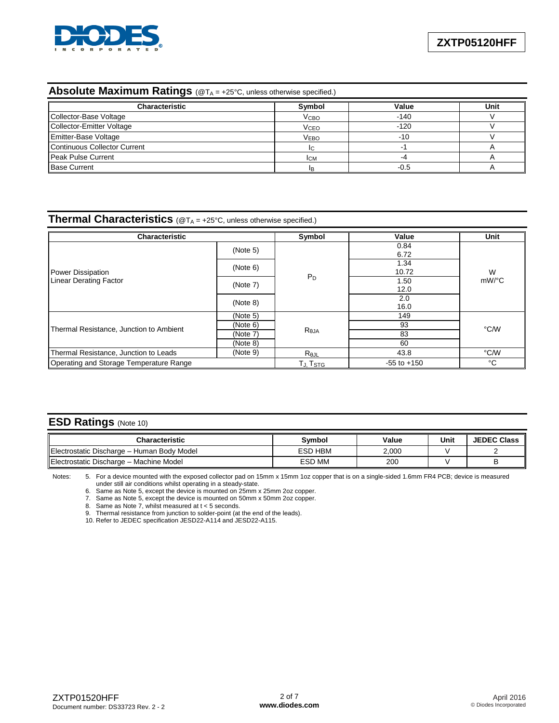

# **Absolute Maximum Ratings** (@T<sub>A</sub> = +25°C, unless otherwise specified.)

| <b>Characteristic</b>        | Symbol                 | Value  | Unit |
|------------------------------|------------------------|--------|------|
| Collector-Base Voltage       | <b>V<sub>CВО</sub></b> | $-140$ |      |
| Collector-Emitter Voltage    | <b>V<sub>CEO</sub></b> | $-120$ |      |
| <b>Emitter-Base Voltage</b>  | <b>VEBO</b>            | -10    |      |
| Continuous Collector Current |                        |        |      |
| Peak Pulse Current           | <b>ICM</b>             |        |      |
| <b>Base Current</b>          |                        | -0.5   |      |

### **Thermal Characteristics** (@TA = +25°C, unless otherwise specified.)

| <b>Characteristic</b>                             | Symbol               | Value           | Unit          |               |  |
|---------------------------------------------------|----------------------|-----------------|---------------|---------------|--|
|                                                   | (Note 5)             |                 | 0.84<br>6.72  |               |  |
| Power Dissipation                                 | (Note 6)             |                 | 1.34<br>10.72 | W<br>$mW$ /°C |  |
| <b>Linear Derating Factor</b>                     | (Note 7)             | $P_D$           | 1.50<br>12.0  |               |  |
|                                                   | (Note 8)             |                 | 2.0<br>16.0   |               |  |
|                                                   | (Note 5)             |                 | 149           | °C/W          |  |
|                                                   | (Note 6)             | Reja            | 93            |               |  |
| Thermal Resistance, Junction to Ambient           | (Note 7)             |                 | 83            |               |  |
|                                                   | (Note 8)             |                 | 60            |               |  |
| (Note 9)<br>Thermal Resistance, Junction to Leads |                      | $R_{\theta JL}$ | 43.8          | °C/W          |  |
| Operating and Storage Temperature Range           | TJ, T <sub>STG</sub> | $-55$ to $+150$ | °C            |               |  |

### **ESD Ratings** (Note 10)

| <b>Characteristic</b>                      | Symbol        | Value | Unit | <b>JEDEC Class</b> |
|--------------------------------------------|---------------|-------|------|--------------------|
| Electrostatic Discharge - Human Body Model | ESD HBM       | 2,000 |      |                    |
| Electrostatic Discharge - Machine Model    | <b>ESD MM</b> | 200   |      |                    |

Notes: 5. For a device mounted with the exposed collector pad on 15mm x 15mm 1oz copper that is on a single-sided 1.6mm FR4 PCB; device is measured under still air conditions whilst operating in a steady-state.

6. Same as Note 5, except the device is mounted on 25mm x 25mm 2oz copper.

7. Same as Note 5, except the device is mounted on 50mm x 50mm 2oz copper.

8. Same as Note 7, whilst measured at t < 5 seconds.

9. Thermal resistance from junction to solder-point (at the end of the leads).

10. Refer to JEDEC specification JESD22-A114 and JESD22-A115.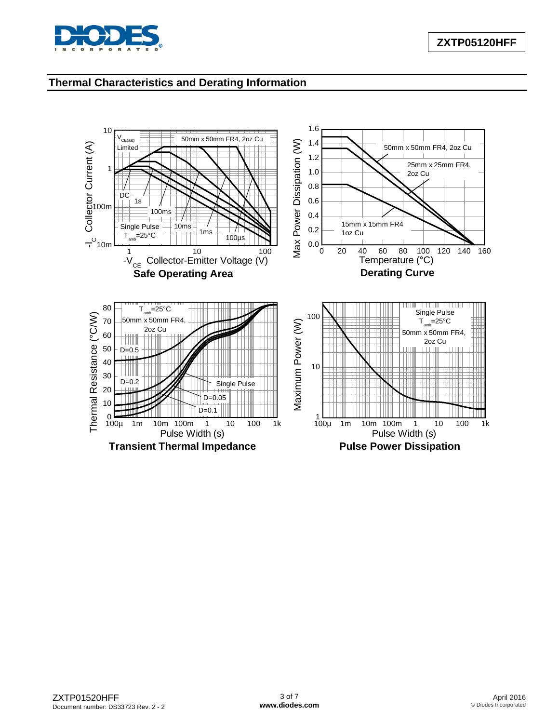

# **Thermal Characteristics and Derating Information**

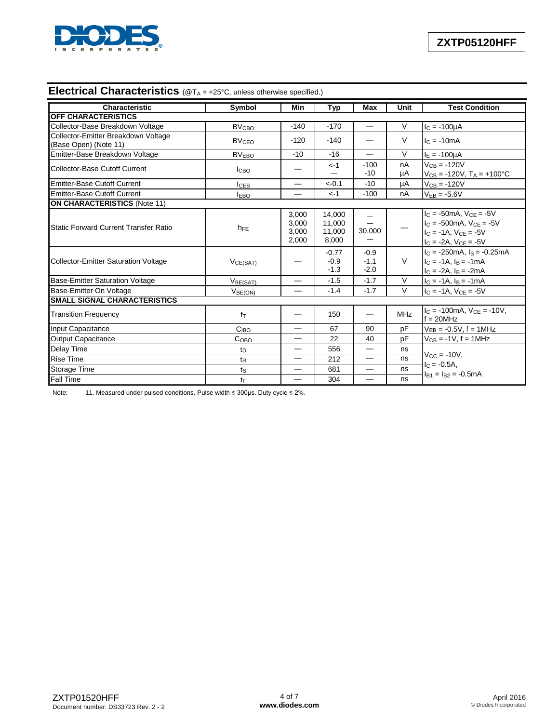

# **Electrical Characteristics** (@T<sub>A</sub> = +25°C, unless otherwise specified.)

| Characteristic                                               | Symbol                  | Min                              | Typ                                 | <b>Max</b>                 | Unit     | <b>Test Condition</b>                                                                                                      |
|--------------------------------------------------------------|-------------------------|----------------------------------|-------------------------------------|----------------------------|----------|----------------------------------------------------------------------------------------------------------------------------|
| OFF CHARACTERISTICS                                          |                         |                                  |                                     |                            |          |                                                                                                                            |
| Collector-Base Breakdown Voltage                             | <b>BV<sub>CBO</sub></b> | $-140$                           | $-170$                              |                            | $\vee$   | $I_C = -100 \mu A$                                                                                                         |
| Collector-Emitter Breakdown Voltage<br>(Base Open) (Note 11) | <b>BV<sub>CEO</sub></b> | $-120$                           | $-140$                              |                            | $\vee$   | $lc = -10mA$                                                                                                               |
| Emitter-Base Breakdown Voltage                               | <b>BVEBO</b>            | $-10$                            | $-16$                               |                            | $\vee$   | $I_F = -100 \mu A$                                                                                                         |
| Collector-Base Cutoff Current                                | <b>I</b> CBO            |                                  | $< -1$                              | $-100$<br>$-10$            | nA<br>μA | $VCB = -120V$<br>$V_{CB} = -120V$ , $T_A = +100^{\circ}C$                                                                  |
| Emitter-Base Cutoff Current                                  | $_{\text{LES}}$         | —                                | $<-0.1$                             | $-10$                      | μA       | $V_{CB} = -120V$                                                                                                           |
| Emitter-Base Cutoff Current                                  | <b>IEBO</b>             |                                  | $< -1$                              | $-100$                     | nA       | $V_{EB} = -5.6V$                                                                                                           |
| <b>ON CHARACTERISTICS (Note 11)</b>                          |                         |                                  |                                     |                            |          |                                                                                                                            |
| <b>Static Forward Current Transfer Ratio</b>                 | $h_{FE}$                | 3,000<br>3,000<br>3,000<br>2,000 | 14,000<br>11,000<br>11,000<br>8,000 | —<br>30,000                |          | $I_C = -50mA, V_{CE} = -5V$<br>$I_C = -500$ mA, $V_{CF} = -5V$<br>$IC = -1A$ , $VCE = -5V$<br>$I_C = -2A$ , $V_{CE} = -5V$ |
| Collector-Emitter Saturation Voltage                         | VCE(SAT)                |                                  | $-0.77$<br>$-0.9$<br>$-1.3$         | $-0.9$<br>$-1.1$<br>$-2.0$ | $\vee$   | $IC$ = -250mA, $IB$ = -0.25mA<br>$IC = -1A$ , $IB = -1mA$<br>$I_C = -2A$ , $I_B = -2mA$                                    |
| <b>Base-Emitter Saturation Voltage</b>                       | V <sub>BE(SAT)</sub>    |                                  | $-1.5$                              | $-1.7$                     | $\vee$   | $I_C = -1A$ , $I_B = -1mA$                                                                                                 |
| Base-Emitter On Voltage                                      | V <sub>BE(ON)</sub>     |                                  | $-1.4$                              | $-1.7$                     | $\vee$   | $I_C = -1A$ , $V_{CE} = -5V$                                                                                               |
| <b>SMALL SIGNAL CHARACTERISTICS</b>                          |                         |                                  |                                     |                            |          |                                                                                                                            |
| <b>Transition Frequency</b>                                  | $f_{\text{T}}$          |                                  | 150                                 | —                          | MHz      | $IC = -100mA$ , $VCE = -10V$ ,<br>$f = 20$ MHz                                                                             |
| Input Capacitance                                            | C <sub>IBO</sub>        |                                  | 67                                  | 90                         | pF       | $V_{EB} = -0.5V$ , f = 1MHz                                                                                                |
| Output Capacitance                                           | C <sub>OBO</sub>        | —                                | 22                                  | 40                         | pF       | $V_{CB} = -1V, f = 1MHz$                                                                                                   |
| Delay Time                                                   | $t_{\text{D}}$          | —                                | 556                                 | —                          | ns       |                                                                                                                            |
| <b>Rise Time</b>                                             | $t_{R}$                 |                                  | 212                                 |                            | ns       | $V_{CC} = -10V$                                                                                                            |
| Storage Time                                                 | $t_{\rm S}$             | —                                | 681                                 | —                          | ns       | $IC = -0.5A$<br>$I_{B1} = I_{B2} = -0.5mA$                                                                                 |
| <b>I</b> Fall Time                                           | tF                      |                                  | 304                                 |                            | ns       |                                                                                                                            |

Note: 11. Measured under pulsed conditions. Pulse width ≤ 300µs. Duty cycle ≤ 2%.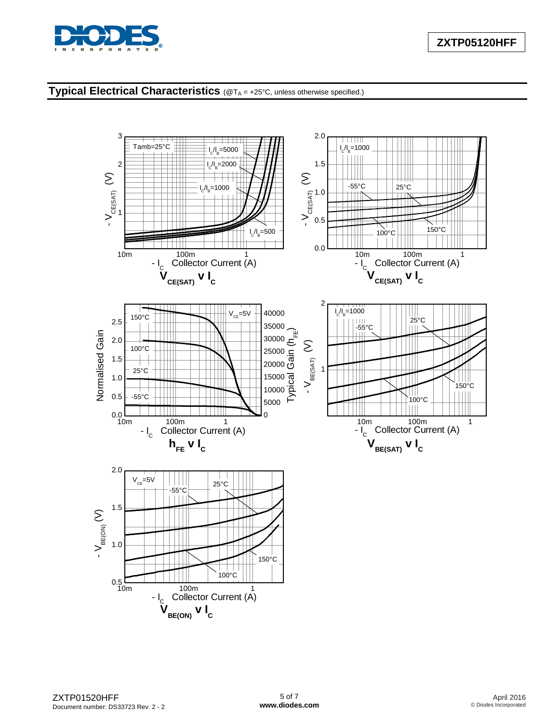

# **Typical Electrical Characteristics** (@TA = +25°C, unless otherwise specified.)

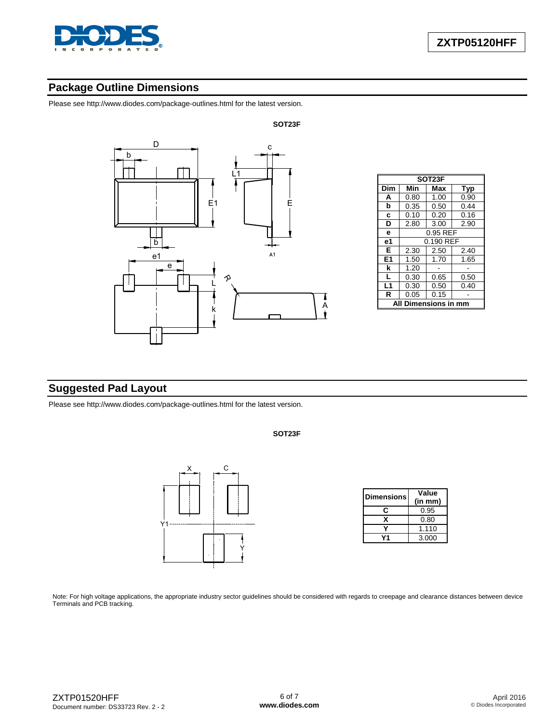

# **Package Outline Dimensions**

Please see <http://www.diodes.com/package-outlines.html> for the latest version.



| SOT <sub>23</sub> F |           |      |      |  |  |
|---------------------|-----------|------|------|--|--|
| Dim                 | Min       | Max  | Typ  |  |  |
| A                   | 0.80      | 1.00 | 0.90 |  |  |
| b                   | 0.35      | 0.50 | 0.44 |  |  |
| c                   | 0.10      | 0.20 | 0.16 |  |  |
| D                   | 2.80      | 3.00 | 2.90 |  |  |
| e                   | 0.95 REF  |      |      |  |  |
| e1                  | 0.190 REF |      |      |  |  |
| Е                   | 2.30      | 2.50 | 2.40 |  |  |
| E <sub>1</sub>      | 1.50      | 1.70 | 1.65 |  |  |
| k                   | 1.20      |      |      |  |  |
| L                   | 0.30      | 0.65 | 0.50 |  |  |
| L1                  | 0.30      | 0.50 | 0.40 |  |  |
| R                   | 0.05      | 0.15 |      |  |  |
| Dimensions in<br>mm |           |      |      |  |  |

# **Suggested Pad Layout**

Please see <http://www.diodes.com/package-outlines.html> for the latest version.



| <b>Dimensions</b> | Value   |
|-------------------|---------|
|                   | (in mm) |
| c                 | 0.95    |
| x                 | 0.80    |
|                   | 1.110   |
|                   | 3.000   |

**SOT23F**

Note: For high voltage applications, the appropriate industry sector guidelines should be considered with regards to creepage and clearance distances between device Terminals and PCB tracking.